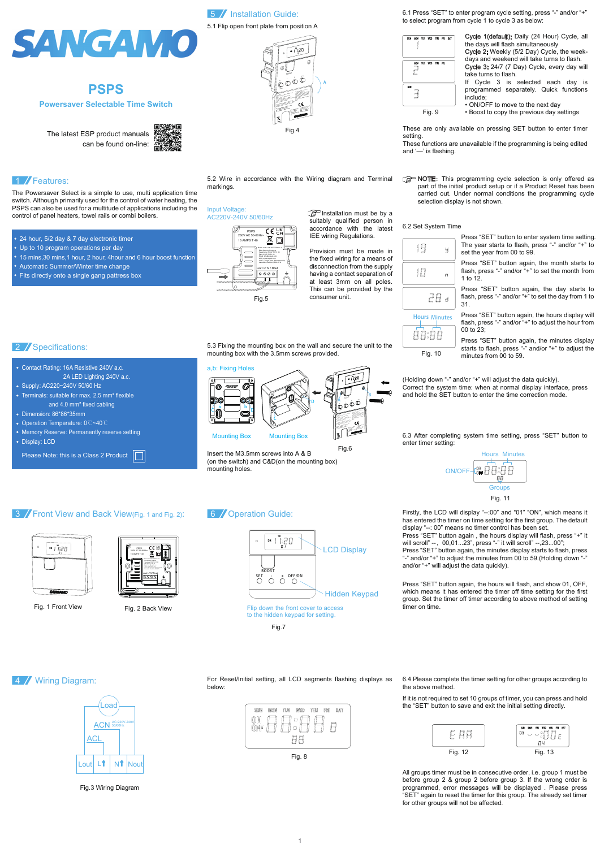# 4 Wiring Diagram:

5.1 Flip open front plate from position A



**Installation must be by a** suitably qualified person in accordance with the latest IEE wiring Regulations.

5.3 Fixing the mounting box on the wall and secure the unit to the

mounting box with the 3.5mm screws provided.

Provision must be made in

the fixed wiring for a means of disconnection from the supply having a contact separation of at least 3mm on all poles.





Fig.3 Wiring Diagram

consumer unit. Fig.5

Fig.4

Input Voltage: AC220V-240V 50/60Hz

## a,b: Fixing Holes

Insert the M3.5mm screws into A & B (on the switch) and C&D(on the mounting box) mounting holes. Fig.6

EliteSecurityProducts Unit7, TargetPark, ShawbankRd, Lakeside, Redditch, B98 Telephone: 0152751 Fax: 015275  $E = E$  $W$ 

TO PROGRAM  $\sum_{i=1}^n$ correction mode. eting Sequenceis :Day of Week, Hour, Minute. Press SET toscroll through and review programmings order( For eachday or day group: Pro1 on, Pro1of , ... Pro10 on, Pro <sup>10</sup> of ), return to normal display. When programming, the following programming, the following programming, the can be used.<br>The following programming, the can be used to the can be used to the can be used to the can be used to the can<br>The following programm Press BOOS <sup>T</sup>tocopy programs intonextday (7 day cycle only). Press<sub>O</sub>FF /ON toskipto startof next<br>Press / Only).<br>Daniel only in the company of the cycle only only only (7 day cycle only).

The Powersaver Select is a simple to use, multi application time switch. Although primarily used for the control of water heating, the PSPS can also be used for a multitude of applications including the control of panel heaters, towel rails or combi boilers.

If no button pressed after <sup>15</sup> secs , unit auto returns tonormaldisplay.  $\mathcal{L}(\mathcal{L})$ 30min,1hour,2hours,4hours,6hours,canceloption. Long press <sup>B</sup> OOST to switch BST and/orGMT. (3) Press OFF/ON todisable programs. BOOS <sup>T</sup> buton can stil be used. Press OFF/ON again to  $\frac{1}{\sqrt{2}}$  To cancel a current program, today  $\frac{1}{\sqrt{2}}$ 

 $\overline{\mathcal{P}}$   $\overline{\mathcal{P}}$   $\overline{\mathcal{P}}$ 

- 24 hour, 5/2 day & 7 day electronic timer
- Up to 10 program operations per day
- 15 mins,30 mins,1 hour, 2 hour, 4hour and 6 hour boost function
- Automatic Summer/Winter time change

2 Specifications:

Fits directly onto a single gang pattress box

The latest ESP product manuals can be found on-line:



# 1 **/ Features:**

# SANGAMO

# **PSPS**

### **Powersaver Selectable Time Switch**

Contact Rating: 16A Resistive 240V a.c.

2A LED Lighting 240V a.c.

**3** Front View and Back View(Fig. 1 and Fig. 2):



Supply: AC220~240V 50/60 Hz

Terminals: suitable for max. 2.5 mm² flexible and 4.0 mm² fixed cabling

Dimension: 86\*86\*35mm

• Display: LCD

Operation Temperature: 0℃~40℃

A



Press "SET" button again , the hours display will flash, press "+" it will scroll" --, 00,01...23", press "-" it will scroll" --,23...00";

NB: Theprogrammingcycle hasbeensetat installation(24hr,5/2dayor 7day). To change referto the maininstructions.

EVIE <sup>W</sup>



Fig. 1 Front View Fig. 2 Back View

**NOTE:** This programming cycle selection is only offered as part of the initial product setup or if a Product Reset has been carried out. Under normal conditions the programming cycle selection display is not shown.

.<br>SUN MON TUE WED THU FRI SAT  $\int\limits_0^a$ 





5 / Installation Guide:

For Reset/Initial setting, all LCD segments flashing displays as below:



6.1 Press "SET" to enter program cycle setting, press "-" and/or "+"

to select program from cycle 1 to cycle 3 as below:

6.3 After completing system time setting, press "SET" button to enter timer setting:

Firstly, the LCD will display "--:00" and "01" "ON", which means it has entered the timer on time setting for the first group. The default display "--: 00" means no timer control has been set.

Press "SET" button again, the minutes display starts to flash, press "-" and/or "+" to adjust the minutes from 00 to 59.(Holding down "-" and/or "+" will adjust the data quickly).

Press "SET" button again, the hours will flash, and show 01, OFF, which means it has entered the timer off time setting for the first group. Set the timer off timer according to above method of setting timer on time.

# Please Note: this is a Class 2 Product  $|\Box|$

• Memory Reserve: Permanently reserve setting

Cycle 1(default): Daily (24 Hour) Cycle, all the days will flash simultaneously Cycle 2: Weekly (5/2 Day) Cycle, the weekdays and weekend will take turns to flash. Cycle 3: 24/7 (7 Day) Cycle, every day will take turns to flash. If Cycle 3 is selected each day is programmed separately. Quick functions

- include; • ON/OFF to move to the next day
- Boost to copy the previous day settings

These are only available on pressing SET button to enter timer setting.

These functions are unavailable if the programming is being edited and '—' is flashing.

# 6 Operation Guide:

6.4 Please complete the timer setting for other groups according to the above method.

If it is not required to set 10 groups of timer, you can press and hold the "SET" button to save and exit the initial setting directly.

All groups timer must be in consecutive order, i.e. group 1 must be before group 2 & group 2 before group 3. If the wrong order is programmed, error messages will be displayed . Please press "SET" again to reset the timer for this group. The already set timer for other groups will not be affected.



# Flip down the front cover to access to the hidden keypad for setting.

Fig. 8





### 6.2 Set System Time

Press "SET" button to enter system time setting. The year starts to flash, press "-" and/or "+" to set the year from 00 to 99.

Press "SET" button again, the month starts to flash, press "-" and/or "+" to set the month from 1 to 12.

Press "SET" button again, the day starts to flash, press "-" and/or "+" to set the day from 1 to 31.

Press "SET" button again, the hours display will flash, press "-" and/or "+" to adjust the hour from 00 to 23; Hours Minutes

> Press "SET" button again, the minutes display starts to flash, press "-" and/or "+" to adjust the minutes from 00 to 59.

Fig. 10

88:88

(Holding down "-" and/or "+" will adjust the data quickly). Correct the system time: when at normal display interface, press and hold the SET button to enter the time correction mode.